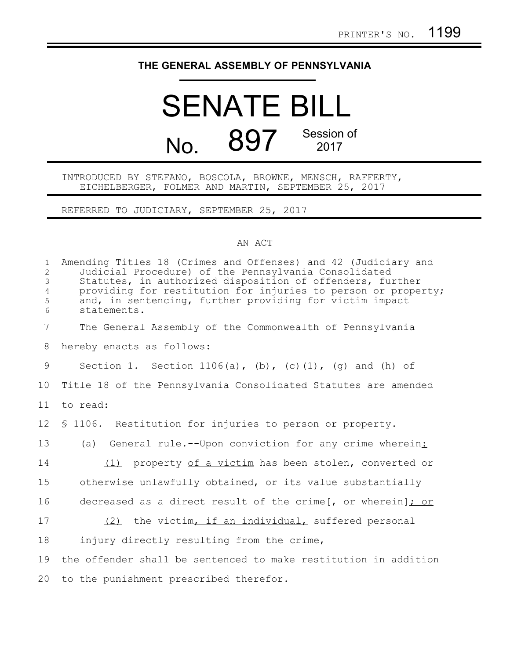## **THE GENERAL ASSEMBLY OF PENNSYLVANIA**

## SENATE BILL No. 897 Session of 2017

INTRODUCED BY STEFANO, BOSCOLA, BROWNE, MENSCH, RAFFERTY, EICHELBERGER, FOLMER AND MARTIN, SEPTEMBER 25, 2017

REFERRED TO JUDICIARY, SEPTEMBER 25, 2017

## AN ACT

| $\mathbf{1}$<br>$\overline{2}$<br>3<br>$\overline{4}$<br>5<br>6 | Amending Titles 18 (Crimes and Offenses) and 42 (Judiciary and<br>Judicial Procedure) of the Pennsylvania Consolidated<br>Statutes, in authorized disposition of offenders, further<br>providing for restitution for injuries to person or property;<br>and, in sentencing, further providing for victim impact<br>statements. |
|-----------------------------------------------------------------|--------------------------------------------------------------------------------------------------------------------------------------------------------------------------------------------------------------------------------------------------------------------------------------------------------------------------------|
| $\overline{7}$                                                  | The General Assembly of the Commonwealth of Pennsylvania                                                                                                                                                                                                                                                                       |
| 8                                                               | hereby enacts as follows:                                                                                                                                                                                                                                                                                                      |
| 9                                                               | Section 1. Section 1106(a), (b), (c)(1), (g) and (h) of                                                                                                                                                                                                                                                                        |
| 10                                                              | Title 18 of the Pennsylvania Consolidated Statutes are amended                                                                                                                                                                                                                                                                 |
| 11                                                              | to read:                                                                                                                                                                                                                                                                                                                       |
| 12                                                              | \$ 1106. Restitution for injuries to person or property.                                                                                                                                                                                                                                                                       |
| 13                                                              | (a) General rule.--Upon conviction for any crime wherein:                                                                                                                                                                                                                                                                      |
| 14                                                              | (1) property of a victim has been stolen, converted or                                                                                                                                                                                                                                                                         |
| 15                                                              | otherwise unlawfully obtained, or its value substantially                                                                                                                                                                                                                                                                      |
| 16                                                              | decreased as a direct result of the crime[, or wherein]; or                                                                                                                                                                                                                                                                    |
| 17                                                              | (2) the victim, if an individual, suffered personal                                                                                                                                                                                                                                                                            |
| 18                                                              | injury directly resulting from the crime,                                                                                                                                                                                                                                                                                      |
| 19                                                              | the offender shall be sentenced to make restitution in addition                                                                                                                                                                                                                                                                |
| 20                                                              | to the punishment prescribed therefor.                                                                                                                                                                                                                                                                                         |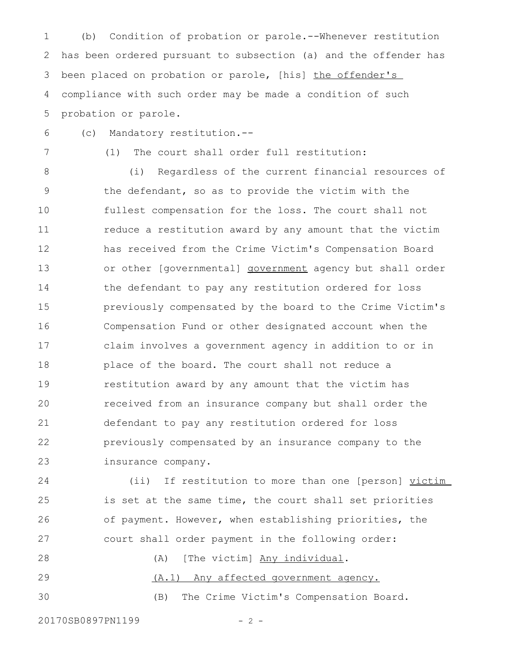(b) Condition of probation or parole.--Whenever restitution has been ordered pursuant to subsection (a) and the offender has been placed on probation or parole, [his] the offender's compliance with such order may be made a condition of such probation or parole. 1 2 3 4 5

(c) Mandatory restitution.-- 6

7

(1) The court shall order full restitution:

(i) Regardless of the current financial resources of the defendant, so as to provide the victim with the fullest compensation for the loss. The court shall not reduce a restitution award by any amount that the victim has received from the Crime Victim's Compensation Board or other [governmental] **government** agency but shall order the defendant to pay any restitution ordered for loss previously compensated by the board to the Crime Victim's Compensation Fund or other designated account when the claim involves a government agency in addition to or in place of the board. The court shall not reduce a restitution award by any amount that the victim has received from an insurance company but shall order the defendant to pay any restitution ordered for loss previously compensated by an insurance company to the insurance company. 8 9 10 11 12 13 14 15 16 17 18 19 20 21 22 23

(ii) If restitution to more than one [person] victim is set at the same time, the court shall set priorities of payment. However, when establishing priorities, the court shall order payment in the following order: 24 25 26 27

(A) [The victim] Any individual. (A.1) Any affected government agency. (B) The Crime Victim's Compensation Board. 28 29 30

20170SB0897PN1199 - 2 -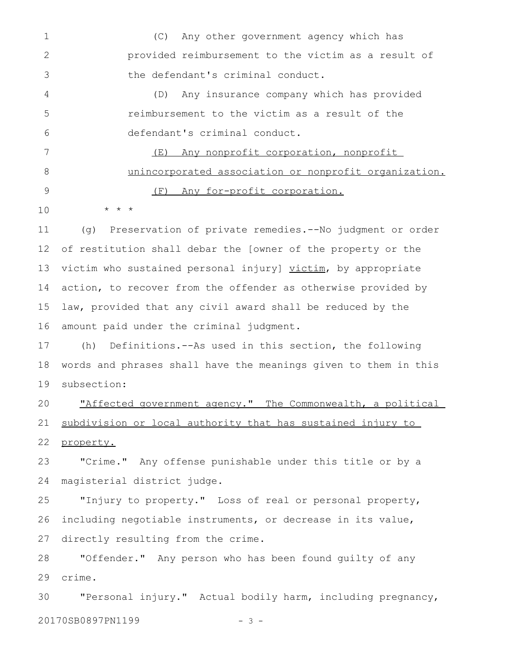(C) Any other government agency which has provided reimbursement to the victim as a result of the defendant's criminal conduct. (D) Any insurance company which has provided reimbursement to the victim as a result of the defendant's criminal conduct. (E) Any nonprofit corporation, nonprofit unincorporated association or nonprofit organization. (F) Any for-profit corporation. \* \* \* 1 2 3 4 5 6 7 8 9 10

(g) Preservation of private remedies.--No judgment or order of restitution shall debar the [owner of the property or the victim who sustained personal injury] victim, by appropriate action, to recover from the offender as otherwise provided by law, provided that any civil award shall be reduced by the amount paid under the criminal judgment. 11 12 13 14 15 16

(h) Definitions.--As used in this section, the following words and phrases shall have the meanings given to them in this subsection: 17 18 19

"Affected government agency." The Commonwealth, a political subdivision or local authority that has sustained injury to property. 20 21 22

"Crime." Any offense punishable under this title or by a magisterial district judge. 23 24

"Injury to property." Loss of real or personal property, including negotiable instruments, or decrease in its value, directly resulting from the crime. 25 26 27

"Offender." Any person who has been found guilty of any crime. 28 29

"Personal injury." Actual bodily harm, including pregnancy, 20170SB0897PN1199 - 3 -30